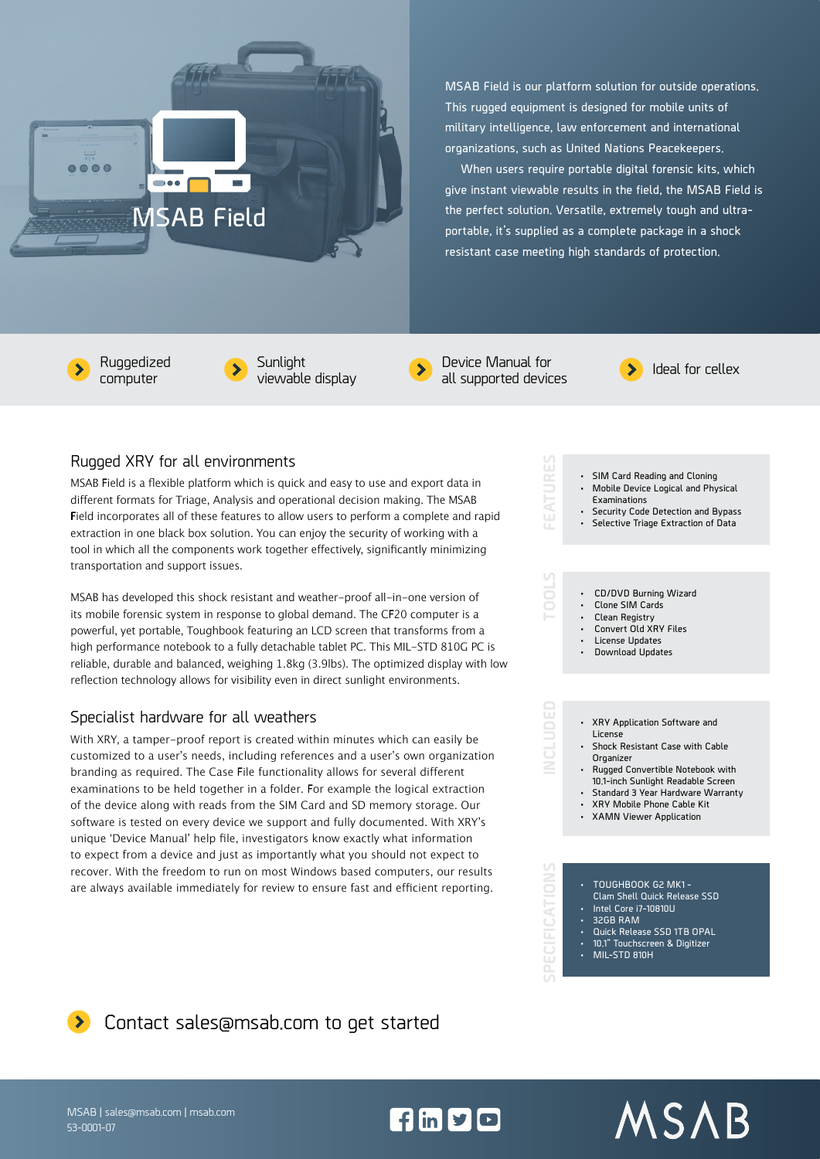

**MSAB Field is our platform solution for outside operations. This rugged equipment is designed for mobile units of military intelligence, law enforcement and international organizations, such as United Nations Peacekeepers.** 

**When users require portable digital forensic kits, which give instant viewable results in the field, the MSAB Field is the perfect solution. Versatile, extremely tough and ultraportable, it's supplied as a complete package in a shock resistant case meeting high standards of protection.**

computer



Device Manual for

 $f \ln y$ 



**• SIM Card Reading and Cloning • Mobile Device Logical and Physical** 

**• Security Code Detection and Bypass • Selective Triage Extraction of Data**

## Rugged XRY for all environments

MSAB Field is a flexible platform which is quick and easy to use and export data in different formats for Triage, Analysis and operational decision making. The MSAB Field incorporates all of these features to allow users to perform a complete and rapid extraction in one black box solution. You can enjoy the security of working with a tool in which all the components work together effectively, significantly minimizing transportation and support issues.

MSAB has developed this shock resistant and weather-proof all-in-one version of its mobile forensic system in response to global demand. The CF20 computer is a powerful, yet portable, Toughbook featuring an LCD screen that transforms from a high performance notebook to a fully detachable tablet PC. This MIL-STD 810G PC is reliable, durable and balanced, weighing 1.8kg (3.9lbs). The optimized display with low reflection technology allows for visibility even in direct sunlight environments.

## Specialist hardware for all weathers

With XRY, a tamper-proof report is created within minutes which can easily be customized to a user's needs, including references and a user's own organization branding as required. The Case File functionality allows for several different examinations to be held together in a folder. For example the logical extraction of the device along with reads from the SIM Card and SD memory storage. Our software is tested on every device we support and fully documented. With XRY's unique 'Device Manual' help file, investigators know exactly what information to expect from a device and just as importantly what you should not expect to recover. With the freedom to run on most Windows based computers, our results are always available immediately for review to ensure fast and efficient reporting.



- **• Download Updates**
- 

**Examinations** 

Š



- **• Rugged Convertible Notebook with 10.1-inch Sunlight Readable Screen • Standard 3 Year Hardware Warranty**
- **• XRY Mobile Phone Cable Kit**
- **• XAMN Viewer Application**



MSAB

## **D** Contact sales@msab.com to get started

MSAB | sales@msab.com | msab.com 53-0001-07